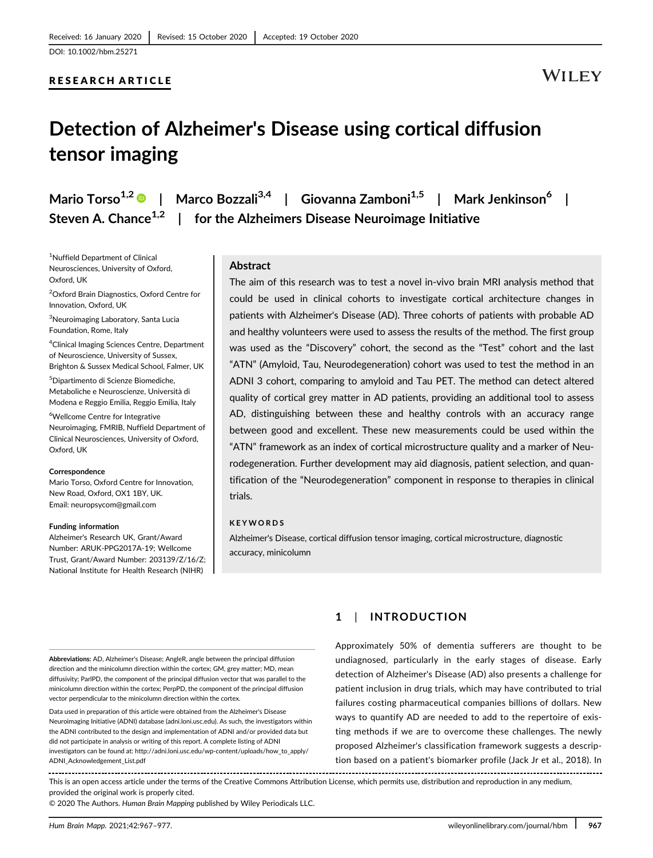### RESEARCH ARTICLE

## **WILEY**

# Detection of Alzheimer's Disease using cortical diffusion tensor imaging

Mario Torso<sup>1,2</sup> | Marco Bozzali<sup>3,4</sup> | Giovanna Zamboni<sup>1,5</sup> | Mark Jenkinson<sup>6</sup> | Steven A. Chance<sup>1,2</sup> | for the Alzheimers Disease Neuroimage Initiative

1 Nuffield Department of Clinical Neurosciences, University of Oxford, Oxford, UK

2 Oxford Brain Diagnostics, Oxford Centre for Innovation, Oxford, UK

<sup>3</sup>Neuroimaging Laboratory, Santa Lucia Foundation, Rome, Italy

4 Clinical Imaging Sciences Centre, Department of Neuroscience, University of Sussex, Brighton & Sussex Medical School, Falmer, UK

5 Dipartimento di Scienze Biomediche, Metaboliche e Neuroscienze, Università di Modena e Reggio Emilia, Reggio Emilia, Italy

6 Wellcome Centre for Integrative Neuroimaging, FMRIB, Nuffield Department of Clinical Neurosciences, University of Oxford, Oxford, UK

#### **Correspondence**

Mario Torso, Oxford Centre for Innovation, New Road, Oxford, OX1 1BY, UK. Email: [neuropsycom@gmail.com](mailto:neuropsycom@gmail.com)

#### Funding information

Alzheimer's Research UK, Grant/Award Number: ARUK-PPG2017A-19; Wellcome Trust, Grant/Award Number: 203139/Z/16/Z; National Institute for Health Research (NIHR)

#### Abstract

The aim of this research was to test a novel in-vivo brain MRI analysis method that could be used in clinical cohorts to investigate cortical architecture changes in patients with Alzheimer's Disease (AD). Three cohorts of patients with probable AD and healthy volunteers were used to assess the results of the method. The first group was used as the "Discovery" cohort, the second as the "Test" cohort and the last "ATN" (Amyloid, Tau, Neurodegeneration) cohort was used to test the method in an ADNI 3 cohort, comparing to amyloid and Tau PET. The method can detect altered quality of cortical grey matter in AD patients, providing an additional tool to assess AD, distinguishing between these and healthy controls with an accuracy range between good and excellent. These new measurements could be used within the "ATN" framework as an index of cortical microstructure quality and a marker of Neurodegeneration. Further development may aid diagnosis, patient selection, and quantification of the "Neurodegeneration" component in response to therapies in clinical trials.

#### KEYWORDS

Alzheimer's Disease, cortical diffusion tensor imaging, cortical microstructure, diagnostic accuracy, minicolumn

Abbreviations: AD, Alzheimer's Disease; AngleR, angle between the principal diffusion direction and the minicolumn direction within the cortex; GM, grey matter; MD, mean diffusivity; ParlPD, the component of the principal diffusion vector that was parallel to the minicolumn direction within the cortex; PerpPD, the component of the principal diffusion vector perpendicular to the minicolumn direction within the cortex.

Data used in preparation of this article were obtained from the Alzheimer's Disease Neuroimaging Initiative (ADNI) database (adni.loni.usc.edu). As such, the investigators within the ADNI contributed to the design and implementation of ADNI and/or provided data but did not participate in analysis or writing of this report. A complete listing of ADNI investigators can be found at: [http://adni.loni.usc.edu/wp-content/uploads/how\\_to\\_apply/](http://adni.loni.usc.edu/wp-content/uploads/how_to_apply/ADNI_Acknowledgement_List.pdf) [ADNI\\_Acknowledgement\\_List.pdf](http://adni.loni.usc.edu/wp-content/uploads/how_to_apply/ADNI_Acknowledgement_List.pdf)

## 1 | INTRODUCTION

Approximately 50% of dementia sufferers are thought to be undiagnosed, particularly in the early stages of disease. Early detection of Alzheimer's Disease (AD) also presents a challenge for patient inclusion in drug trials, which may have contributed to trial failures costing pharmaceutical companies billions of dollars. New ways to quantify AD are needed to add to the repertoire of existing methods if we are to overcome these challenges. The newly proposed Alzheimer's classification framework suggests a description based on a patient's biomarker profile (Jack Jr et al., 2018). In

This is an open access article under the terms of the [Creative Commons Attribution](http://creativecommons.org/licenses/by/4.0/) License, which permits use, distribution and reproduction in any medium, provided the original work is properly cited.

© 2020 The Authors. Human Brain Mapping published by Wiley Periodicals LLC.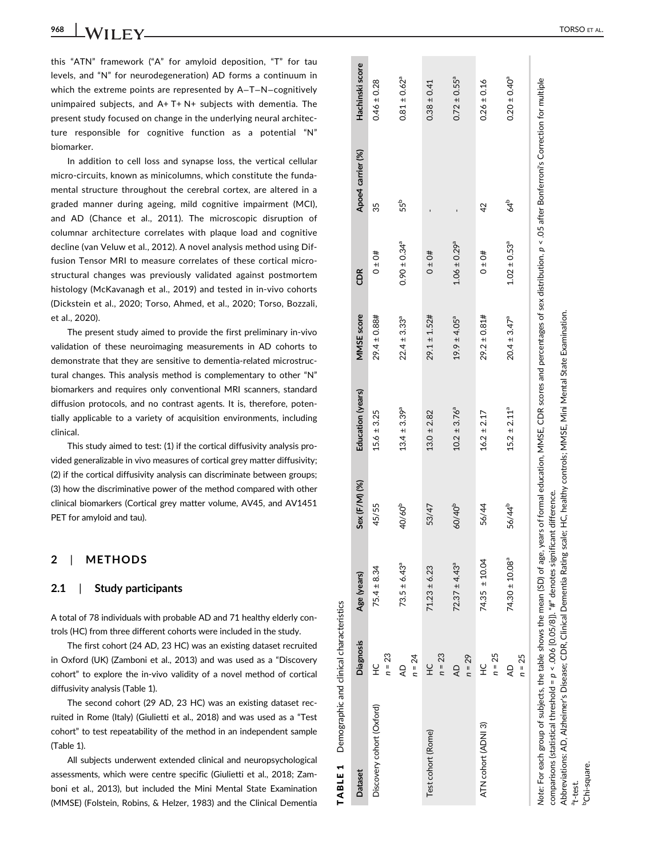this "ATN" framework ("A" for amyloid deposition, "T" for tau levels, and " N " for neurodegeneration) AD forms a continuum in which the extreme points are represented by A–T–N–cognitively unimpaired subjects, and A+ T+ N+ subjects with dementia. The present study focused on change in the underlying neural architecture responsible for cognitive function as a potential "N" biomarker.

In addition to cell loss and synapse loss, the vertical cellular micro-circuits, known as minicolumns, which constitute the fundamental structure throughout the cerebral cortex, are altered in a graded manner during ageing, mild cognitive impairment (MCI), and AD (Chance et al., 2011). The microscopic disruption of columnar architecture correlates with plaque load and cognitive decline (van Veluw et al., 2012). A novel analysis method using Diffusion Tensor MRI to measure correlates of these cortical microstructural changes was previously validated against postmortem histology (McKavanagh et al., 2019) and tested in in-vivo cohorts (Dickstein et al., 2020; Torso, Ahmed, et al., 2020; Torso, Bozzali, et al., 2020).

The present study aimed to provide the first preliminary in-vivo validation of these neuroimaging measurements in AD cohorts to demonstrate that they are sensitive to dementia-related microstructural changes. This analysis method is complementary to other "N" biomarkers and requires only conventional MRI scanners, standard diffusion protocols, and no contrast agents. It is, therefore, potentially applicable to a variety of acquisition environments, including clinical.

This study aimed to test: (1) if the cortical diffusivity analysis provided generalizable in vivo measures of cortical grey matter diffusivity; (2) if the cortical diffusivity analysis can discriminate between groups; (3) how the discriminative power of the method compared with other clinical biomarkers (Cortical grey matter volume, AV45, and AV1451 PET for amyloid and tau).

#### 2 | METHODS

#### 2.1 | Study participants

A total of 78 individuals with probable AD and 71 healthy elderly controls (HC) from three different cohorts were included in the study.

The first cohort (24 AD, 23 HC) was an existing dataset recruited in Oxford (UK) (Zamboni et al., 2013) and was used as a "Discovery cohort " to explore the in-vivo validity of a novel method of cortical diffusivity analysis (Table 1).

The second cohort (29 AD, 23 HC) was an existing dataset recruited in Rome (Italy) (Giulietti et al., 2018) and was used as a "Test cohort " to test repeatability of the method in an independent sample (Table 1).

All subjects underwent extended clinical and neuropsychological assessments, which were centre specific (Giulietti et al., 2018; Zamboni et al., 2013), but included the Mini Mental State Examination (MMSE) (Folstein, Robins, & Helzer, 1983) and the Clinical Dementia

| Dataset                                                                                                                                                                                                     | <b>Diagnosis</b>           | Age (years)                   | Sex (F/M) (%)      | Education (years)            | MMSE score                   | <b>CDR</b>                   | Apoe4 carrier (%) | Hachinski score              |
|-------------------------------------------------------------------------------------------------------------------------------------------------------------------------------------------------------------|----------------------------|-------------------------------|--------------------|------------------------------|------------------------------|------------------------------|-------------------|------------------------------|
| Discovery cohort (Oxford)                                                                                                                                                                                   | $n = 23$<br>Ϋ́             | $75.4 \pm 8.34$               | 45/55              | $15.6 \pm 3.25$              | $29.4 \pm 0.88$ #            | $0 + 0#$                     | 35                | $0.46 \pm 0.28$              |
|                                                                                                                                                                                                             | $n = 24$<br>Q              | $73.5 \pm 6.43^a$             | 40/60 <sup>b</sup> | $13.4 \pm 3.39$ <sup>a</sup> | $22.4 \pm 3.33$ <sup>a</sup> | $0.90 \pm 0.34$ <sup>a</sup> | 55 <sup>b</sup>   | $0.81 \pm 0.62$ <sup>a</sup> |
| Test cohort (Rome)                                                                                                                                                                                          | $n = 23$<br>¥              | $71.23 \pm 6.23$              | 53/47              | $13.0 \pm 2.82$              | $29.1 \pm 1.52$ #            | 0 ± 0#                       |                   | $0.38 \pm 0.41$              |
|                                                                                                                                                                                                             | $n = 29$<br>$\overline{4}$ | $72.37 \pm 4.43$ <sup>a</sup> | 60/40 <sup>b</sup> | $10.2 \pm 3.76^{\circ}$      | $19.9 \pm 4.05^{\circ}$      | $1.06 \pm 0.29$ <sup>a</sup> |                   | $0.72 \pm 0.55$ <sup>a</sup> |
| ATN cohort (ADNI 3)                                                                                                                                                                                         | $n = 25$<br>Ϋ́             | 74.35 ± 10.04                 | 56/44              | $16.2 \pm 2.17$              | $29.2 \pm 0.81$ #            | $0 + 0#$                     | 42                | $0.26 \pm 0.16$              |
|                                                                                                                                                                                                             | $n = 25$<br>Q              | $74.30 \pm 10.08^a$           | 56/44 <sup>b</sup> | $15.2 \pm 2.11$ <sup>a</sup> | $20.4 \pm 3.47^a$            | $1.02 \pm 0.53$ <sup>a</sup> | $64^{\circ}$      | $0.20 \pm 0.40$ <sup>a</sup> |
| Note: For each group of subjects, the table shows the mean (SD) of age, years of formal education, MMSE, CDR scores and percentages of sex distribution. p < .05 after Bonferroni's Correction for multiple |                            |                               |                    |                              |                              |                              |                   |                              |

TABLE 1 Demographic and clinical characteristics

TABLE<sub>1</sub>

Demographic and clinical characteristics

a<sub>t-test</sub>. bChi-square.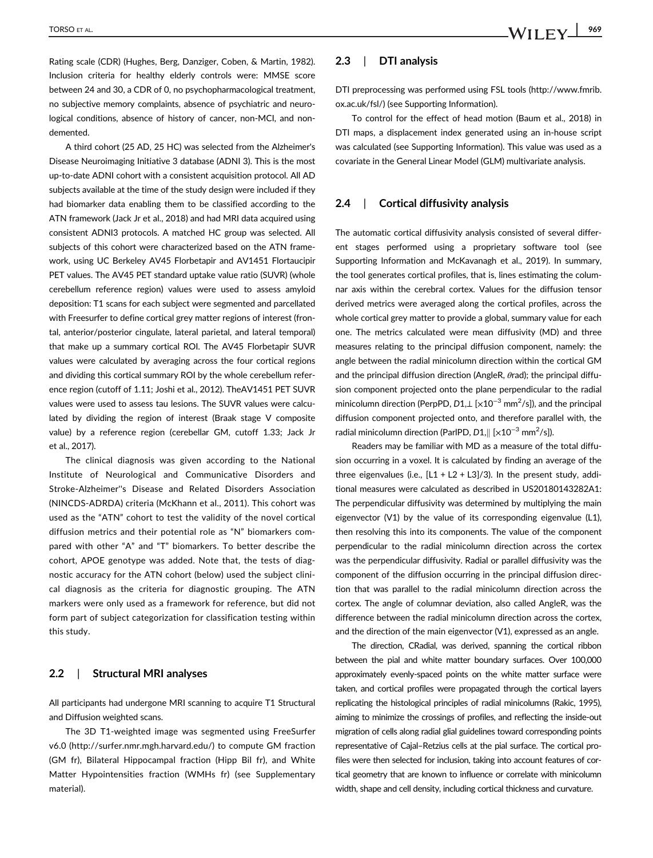demented.

Rating scale (CDR) (Hughes, Berg, Danziger, Coben, & Martin, 1982). Inclusion criteria for healthy elderly controls were: MMSE score between 24 and 30, a CDR of 0, no psychopharmacological treatment, no subjective memory complaints, absence of psychiatric and neurological conditions, absence of history of cancer, non-MCI, and non-

A third cohort (25 AD, 25 HC) was selected from the Alzheimer's Disease Neuroimaging Initiative 3 database (ADNI 3). This is the most up-to-date ADNI cohort with a consistent acquisition protocol. All AD subjects available at the time of the study design were included if they had biomarker data enabling them to be classified according to the ATN framework (Jack Jr et al., 2018) and had MRI data acquired using consistent ADNI3 protocols. A matched HC group was selected. All subjects of this cohort were characterized based on the ATN framework, using UC Berkeley AV45 Florbetapir and AV1451 Flortaucipir PET values. The AV45 PET standard uptake value ratio (SUVR) (whole cerebellum reference region) values were used to assess amyloid deposition: T1 scans for each subject were segmented and parcellated with Freesurfer to define cortical grey matter regions of interest (frontal, anterior/posterior cingulate, lateral parietal, and lateral temporal) that make up a summary cortical ROI. The AV45 Florbetapir SUVR values were calculated by averaging across the four cortical regions and dividing this cortical summary ROI by the whole cerebellum reference region (cutoff of 1.11; Joshi et al., 2012). TheAV1451 PET SUVR values were used to assess tau lesions. The SUVR values were calculated by dividing the region of interest (Braak stage V composite value) by a reference region (cerebellar GM, cutoff 1.33; Jack Jr et al., 2017).

The clinical diagnosis was given according to the National Institute of Neurological and Communicative Disorders and Stroke-Alzheimer''s Disease and Related Disorders Association (NINCDS-ADRDA) criteria (McKhann et al., 2011). This cohort was used as the "ATN" cohort to test the validity of the novel cortical diffusion metrics and their potential role as "N" biomarkers compared with other "A" and "T" biomarkers. To better describe the cohort, APOE genotype was added. Note that, the tests of diagnostic accuracy for the ATN cohort (below) used the subject clinical diagnosis as the criteria for diagnostic grouping. The ATN markers were only used as a framework for reference, but did not form part of subject categorization for classification testing within this study.

#### 2.2 | Structural MRI analyses

All participants had undergone MRI scanning to acquire T1 Structural and Diffusion weighted scans.

The 3D T1-weighted image was segmented using FreeSurfer v6.0 [\(http://surfer.nmr.mgh.harvard.edu/\)](http://surfer.nmr.mgh.harvard.edu/) to compute GM fraction (GM fr), Bilateral Hippocampal fraction (Hipp Bil fr), and White Matter Hypointensities fraction (WMHs fr) (see Supplementary material).

#### 2.3 | DTI analysis

DTI preprocessing was performed using FSL tools [\(http://www.fmrib.](http://www.fmrib.ox.ac.uk/fsl/) [ox.ac.uk/fsl/](http://www.fmrib.ox.ac.uk/fsl/)) (see Supporting Information).

To control for the effect of head motion (Baum et al., 2018) in DTI maps, a displacement index generated using an in-house script was calculated (see Supporting Information). This value was used as a covariate in the General Linear Model (GLM) multivariate analysis.

#### 2.4 | Cortical diffusivity analysis

The automatic cortical diffusivity analysis consisted of several different stages performed using a proprietary software tool (see Supporting Information and McKavanagh et al., 2019). In summary, the tool generates cortical profiles, that is, lines estimating the columnar axis within the cerebral cortex. Values for the diffusion tensor derived metrics were averaged along the cortical profiles, across the whole cortical grey matter to provide a global, summary value for each one. The metrics calculated were mean diffusivity (MD) and three measures relating to the principal diffusion component, namely: the angle between the radial minicolumn direction within the cortical GM and the principal diffusion direction (AngleR,  $\theta$ rad); the principal diffusion component projected onto the plane perpendicular to the radial minicolumn direction (PerpPD,  $D1, \perp \left[ \times 10^{-3} \text{ mm}^2/\text{s} \right]$ ), and the principal diffusion component projected onto, and therefore parallel with, the radial minicolumn direction (ParlPD, D1, $\parallel$  [ $\times$ 10<sup>-3</sup> mm<sup>2</sup>/s]).

Readers may be familiar with MD as a measure of the total diffusion occurring in a voxel. It is calculated by finding an average of the three eigenvalues (i.e.,  $[L1 + L2 + L3]/3$ ). In the present study, additional measures were calculated as described in US20180143282A1: The perpendicular diffusivity was determined by multiplying the main eigenvector (V1) by the value of its corresponding eigenvalue (L1), then resolving this into its components. The value of the component perpendicular to the radial minicolumn direction across the cortex was the perpendicular diffusivity. Radial or parallel diffusivity was the component of the diffusion occurring in the principal diffusion direction that was parallel to the radial minicolumn direction across the cortex. The angle of columnar deviation, also called AngleR, was the difference between the radial minicolumn direction across the cortex, and the direction of the main eigenvector (V1), expressed as an angle.

The direction, CRadial, was derived, spanning the cortical ribbon between the pial and white matter boundary surfaces. Over 100,000 approximately evenly-spaced points on the white matter surface were taken, and cortical profiles were propagated through the cortical layers replicating the histological principles of radial minicolumns (Rakic, 1995), aiming to minimize the crossings of profiles, and reflecting the inside-out migration of cells along radial glial guidelines toward corresponding points representative of Cajal–Retzius cells at the pial surface. The cortical profiles were then selected for inclusion, taking into account features of cortical geometry that are known to influence or correlate with minicolumn width, shape and cell density, including cortical thickness and curvature.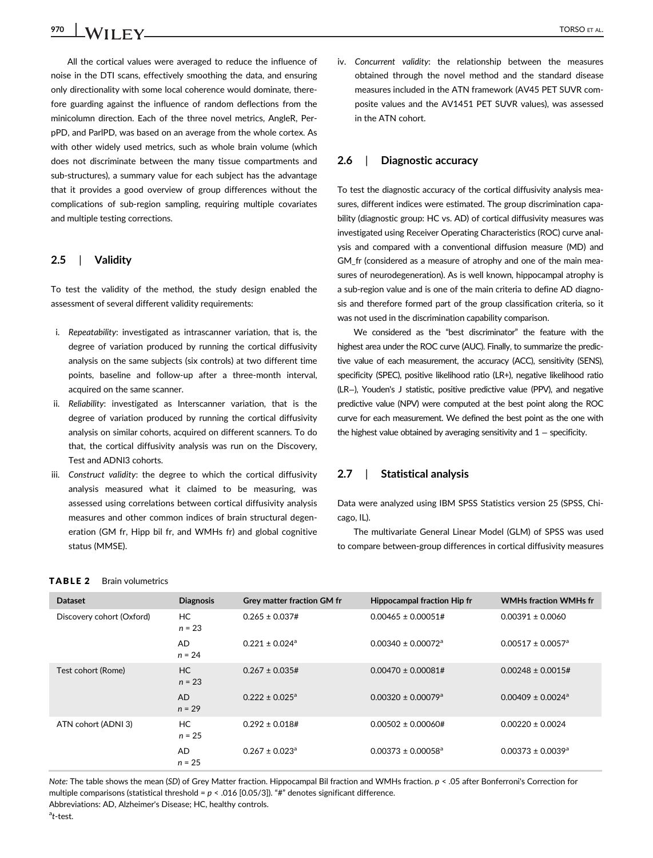All the cortical values were averaged to reduce the influence of noise in the DTI scans, effectively smoothing the data, and ensuring only directionality with some local coherence would dominate, therefore guarding against the influence of random deflections from the minicolumn direction. Each of the three novel metrics, AngleR, PerpPD, and ParlPD, was based on an average from the whole cortex. As with other widely used metrics, such as whole brain volume (which does not discriminate between the many tissue compartments and sub-structures), a summary value for each subject has the advantage that it provides a good overview of group differences without the complications of sub-region sampling, requiring multiple covariates and multiple testing corrections.

#### 2.5 | Validity

TABLE 2 Brain volumetrics

To test the validity of the method, the study design enabled the assessment of several different validity requirements:

- i. Repeatability: investigated as intrascanner variation, that is, the degree of variation produced by running the cortical diffusivity analysis on the same subjects (six controls) at two different time points, baseline and follow-up after a three-month interval, acquired on the same scanner.
- ii. Reliability: investigated as Interscanner variation, that is the degree of variation produced by running the cortical diffusivity analysis on similar cohorts, acquired on different scanners. To do that, the cortical diffusivity analysis was run on the Discovery, Test and ADNI3 cohorts.
- iii. Construct validity: the degree to which the cortical diffusivity analysis measured what it claimed to be measuring, was assessed using correlations between cortical diffusivity analysis measures and other common indices of brain structural degeneration (GM fr, Hipp bil fr, and WMHs fr) and global cognitive status (MMSE).

iv. Concurrent validity: the relationship between the measures obtained through the novel method and the standard disease measures included in the ATN framework (AV45 PET SUVR composite values and the AV1451 PET SUVR values), was assessed in the ATN cohort.

#### 2.6 | Diagnostic accuracy

To test the diagnostic accuracy of the cortical diffusivity analysis measures, different indices were estimated. The group discrimination capability (diagnostic group: HC vs. AD) of cortical diffusivity measures was investigated using Receiver Operating Characteristics (ROC) curve analysis and compared with a conventional diffusion measure (MD) and GM\_fr (considered as a measure of atrophy and one of the main measures of neurodegeneration). As is well known, hippocampal atrophy is a sub-region value and is one of the main criteria to define AD diagnosis and therefore formed part of the group classification criteria, so it was not used in the discrimination capability comparison.

We considered as the "best discriminator" the feature with the highest area under the ROC curve (AUC). Finally, to summarize the predictive value of each measurement, the accuracy (ACC), sensitivity (SENS), specificity (SPEC), positive likelihood ratio (LR+), negative likelihood ratio (LR−), Youden's J statistic, positive predictive value (PPV), and negative predictive value (NPV) were computed at the best point along the ROC curve for each measurement. We defined the best point as the one with the highest value obtained by averaging sensitivity and 1 − specificity.

#### 2.7 | Statistical analysis

Data were analyzed using IBM SPSS Statistics version 25 (SPSS, Chicago, IL).

The multivariate General Linear Model (GLM) of SPSS was used to compare between-group differences in cortical diffusivity measures

| <b>Dataset</b>            | <b>Diagnosis</b>      | Grey matter fraction GM fr     | <b>Hippocampal fraction Hip fr</b> | <b>WMHs fraction WMHs fr</b>      |
|---------------------------|-----------------------|--------------------------------|------------------------------------|-----------------------------------|
| Discovery cohort (Oxford) | <b>HC</b><br>$n = 23$ | $0.265 \pm 0.037$ #            | $0.00465 \pm 0.00051$ #            | $0.00391 \pm 0.0060$              |
|                           | <b>AD</b><br>$n = 24$ | $0.221 \pm 0.024$ <sup>a</sup> | $0.00340 \pm 0.00072$ <sup>a</sup> | $0.00517 \pm 0.0057$ <sup>a</sup> |
| Test cohort (Rome)        | <b>HC</b><br>$n = 23$ | $0.267 \pm 0.035$ #            | $0.00470 \pm 0.00081 \#$           | $0.00248 \pm 0.0015$ #            |
|                           | <b>AD</b><br>$n = 29$ | $0.222 \pm 0.025^{\circ}$      | $0.00320 \pm 0.00079$ <sup>a</sup> | $0.00409 \pm 0.0024$ <sup>a</sup> |
| ATN cohort (ADNI 3)       | HC.<br>$n = 25$       | $0.292 \pm 0.018$ #            | $0.00502 \pm 0.00060#$             | $0.00220 \pm 0.0024$              |
|                           | AD<br>$n = 25$        | $0.267 \pm 0.023$ <sup>a</sup> | $0.00373 \pm 0.00058^{\circ}$      | $0.00373 \pm 0.0039$ <sup>a</sup> |

Note: The table shows the mean (SD) of Grey Matter fraction. Hippocampal Bil fraction and WMHs fraction. p < .05 after Bonferroni's Correction for multiple comparisons (statistical threshold =  $p < .016$  [0.05/3]). "#" denotes significant difference.

Abbreviations: AD, Alzheimer's Disease; HC, healthy controls.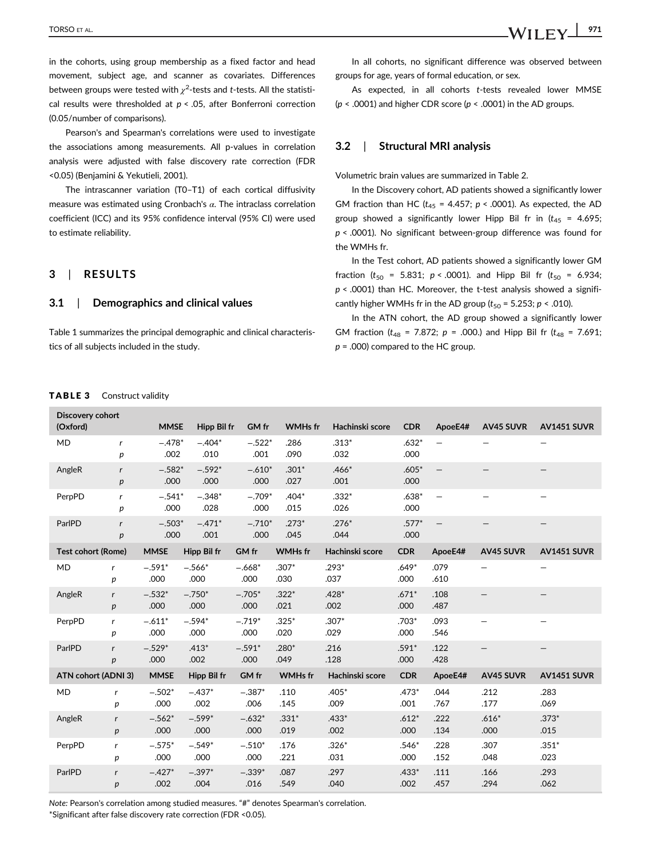TORSO ET AL.  $\blacksquare$  971

in the cohorts, using group membership as a fixed factor and head movement, subject age, and scanner as covariates. Differences between groups were tested with  $\chi^2$ -tests and t-tests. All the statistical results were thresholded at  $p < .05$ , after Bonferroni correction (0.05/number of comparisons).

Pearson's and Spearman's correlations were used to investigate the associations among measurements. All p-values in correlation analysis were adjusted with false discovery rate correction (FDR <0.05) (Benjamini & Yekutieli, 2001).

The intrascanner variation (T0–T1) of each cortical diffusivity measure was estimated using Cronbach's  $\alpha$ . The intraclass correlation coefficient (ICC) and its 95% confidence interval (95% CI) were used to estimate reliability.

#### 3 | RESULTS

#### 3.1 | Demographics and clinical values

Table 1 summarizes the principal demographic and clinical characteristics of all subjects included in the study.

In all cohorts, no significant difference was observed between groups for age, years of formal education, or sex.

As expected, in all cohorts t-tests revealed lower MMSE ( $p$  < .0001) and higher CDR score ( $p$  < .0001) in the AD groups.

#### 3.2 | Structural MRI analysis

Volumetric brain values are summarized in Table 2.

In the Discovery cohort, AD patients showed a significantly lower GM fraction than HC ( $t_{45}$  = 4.457;  $p < .0001$ ). As expected, the AD group showed a significantly lower Hipp Bil fr in  $(t_{45} = 4.695;$  $p < .0001$ ). No significant between-group difference was found for the WMHs fr.

In the Test cohort, AD patients showed a significantly lower GM fraction ( $t_{50}$  = 5.831;  $p < .0001$ ). and Hipp Bil fr ( $t_{50}$  = 6.934;  $p < .0001$ ) than HC. Moreover, the t-test analysis showed a significantly higher WMHs fr in the AD group ( $t_{50}$  = 5.253;  $p \lt 0.010$ ).

In the ATN cohort, the AD group showed a significantly lower GM fraction ( $t_{48}$  = 7.872;  $p = .000$ .) and Hipp Bil fr ( $t_{48}$  = 7.691;  $p = .000$ ) compared to the HC group.

#### TABLE 3 Construct validity

| Discovery cohort<br>(Oxford) |                       | <b>MMSE</b>      | Hipp Bil fr      | GM fr            | <b>WMHs fr</b>  | Hachinski score | <b>CDR</b>      | ApoeE4#                  | <b>AV45 SUVR</b> | <b>AV1451 SUVR</b>       |
|------------------------------|-----------------------|------------------|------------------|------------------|-----------------|-----------------|-----------------|--------------------------|------------------|--------------------------|
| <b>MD</b>                    | r<br>p                | $-.478*$<br>.002 | $-.404*$<br>.010 | $-.522*$<br>.001 | .286<br>.090    | $.313*$<br>.032 | $.632*$<br>.000 |                          |                  |                          |
| AngleR                       | r<br>р                | $-.582*$<br>.000 | $-.592*$<br>.000 | $-.610*$<br>.000 | $.301*$<br>.027 | $.466*$<br>.001 | $.605*$<br>.000 | $\overline{\phantom{m}}$ |                  |                          |
| PerpPD                       | r<br>p                | $-.541*$<br>.000 | $-.348*$<br>.028 | $-.709*$<br>.000 | $.404*$<br>.015 | $.332*$<br>.026 | $.638*$<br>.000 | $\overline{\phantom{0}}$ |                  |                          |
| ParlPD                       | $\mathbf{r}$<br>p     | $-.503*$<br>.000 | $-.471*$<br>.001 | $-.710*$<br>.000 | $.273*$<br>.045 | $.276*$<br>.044 | $.577*$<br>.000 |                          |                  |                          |
| <b>Test cohort (Rome)</b>    |                       | <b>MMSE</b>      | Hipp Bil fr      | <b>GM</b> fr     | <b>WMHs fr</b>  | Hachinski score | <b>CDR</b>      | ApoeE4#                  | <b>AV45 SUVR</b> | <b>AV1451 SUVR</b>       |
| <b>MD</b>                    | $\mathsf{r}$<br>p     | $-.591*$<br>.000 | $-.566*$<br>.000 | $-.668*$<br>.000 | $.307*$<br>.030 | $.293*$<br>.037 | $.649*$<br>.000 | .079<br>.610             | -                | $\overline{\phantom{0}}$ |
| AngleR                       | $\boldsymbol{r}$<br>р | $-.532*$<br>.000 | $-.750*$<br>.000 | $-.705*$<br>.000 | $.322*$<br>.021 | $.428*$<br>.002 | $.671*$<br>.000 | .108<br>.487             |                  |                          |
| PerpPD                       | $\mathsf{r}$<br>p     | $-.611*$<br>.000 | $-.594*$<br>.000 | $-.719*$<br>.000 | $.325*$<br>.020 | $.307*$<br>.029 | $.703*$<br>.000 | .093<br>.546             |                  |                          |
| ParlPD                       | $\mathsf{r}$<br>p     | $-.529*$<br>.000 | $.413*$<br>.002  | $-.591*$<br>.000 | $.280*$<br>.049 | .216<br>.128    | $.591*$<br>.000 | .122<br>.428             |                  |                          |
| ATN cohort (ADNI 3)          |                       | <b>MMSE</b>      | Hipp Bil fr      | GM fr            | <b>WMHs fr</b>  | Hachinski score | <b>CDR</b>      | ApoeE4#                  | AV45 SUVR        | <b>AV1451 SUVR</b>       |
| MD                           | r<br>p                | $-.502*$<br>.000 | $-.437*$<br>.002 | $-.387*$<br>.006 | .110<br>.145    | $.405*$<br>.009 | $.473*$<br>.001 | .044<br>.767             | .212<br>.177     | .283<br>.069             |
| AngleR                       | $\mathsf{r}$<br>р     | $-.562*$<br>.000 | $-.599*$<br>.000 | $-.632*$<br>.000 | $.331*$<br>.019 | $.433*$<br>.002 | $.612*$<br>.000 | .222<br>.134             | $.616*$<br>.000  | $.373*$<br>.015          |
| PerpPD                       | r<br>р                | $-.575*$<br>.000 | $-.549*$<br>.000 | $-.510*$<br>.000 | .176<br>.221    | $.326*$<br>.031 | $.546*$<br>.000 | .228<br>.152             | .307<br>.048     | $.351*$<br>.023          |
| ParlPD                       | r<br>p                | $-.427*$<br>.002 | $-.397*$<br>.004 | $-.339*$<br>.016 | .087<br>.549    | .297<br>.040    | $.433*$<br>.002 | .111<br>.457             | .166<br>.294     | .293<br>.062             |

Note: Pearson's correlation among studied measures. "#" denotes Spearman's correlation. \*Significant after false discovery rate correction (FDR <0.05).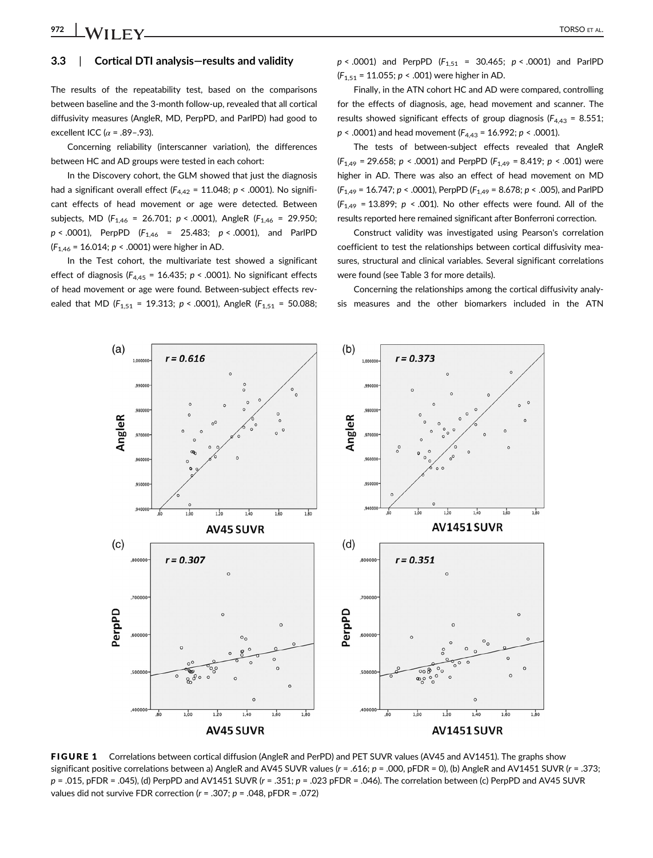## 3.3 | Cortical DTI analysis—results and validity

The results of the repeatability test, based on the comparisons between baseline and the 3-month follow-up, revealed that all cortical diffusivity measures (AngleR, MD, PerpPD, and ParlPD) had good to excellent ICC ( $\alpha$  = .89-.93).

Concerning reliability (interscanner variation), the differences between HC and AD groups were tested in each cohort:

In the Discovery cohort, the GLM showed that just the diagnosis had a significant overall effect ( $F_{4,42}$  = 11.048;  $p$  < .0001). No significant effects of head movement or age were detected. Between subjects, MD ( $F_{1,46}$  = 26.701;  $p < .0001$ ), AngleR ( $F_{1,46}$  = 29.950;  $p < .0001$ ), PerpPD ( $F_{1,46}$  = 25.483;  $p < .0001$ ), and ParlPD  $(F_{1,46} = 16.014; p < .0001)$  were higher in AD.

In the Test cohort, the multivariate test showed a significant effect of diagnosis ( $F_{4,45}$  = 16.435;  $p < .0001$ ). No significant effects of head movement or age were found. Between-subject effects revealed that MD ( $F_{1,51}$  = 19.313;  $p < .0001$ ), AngleR ( $F_{1,51}$  = 50.088;  $p < .0001$ ) and PerpPD ( $F_{1,51} = 30.465$ ;  $p < .0001$ ) and ParlPD  $(F_{1,51} = 11.055; p < .001)$  were higher in AD.

Finally, in the ATN cohort HC and AD were compared, controlling for the effects of diagnosis, age, head movement and scanner. The results showed significant effects of group diagnosis ( $F_{4,43}$  = 8.551;  $p < .0001$ ) and head movement ( $F_{4,43} = 16.992$ ;  $p < .0001$ ).

The tests of between-subject effects revealed that AngleR  $(F<sub>1.49</sub> = 29.658; p < .0001)$  and PerpPD  $(F<sub>1.49</sub> = 8.419; p < .001)$  were higher in AD. There was also an effect of head movement on MD  $(F<sub>1.49</sub> = 16.747; p < .0001)$ , PerpPD  $(F<sub>1.49</sub> = 8.678; p < .005)$ , and ParlPD  $(F<sub>1.49</sub> = 13.899; p < .001)$ . No other effects were found. All of the results reported here remained significant after Bonferroni correction.

Construct validity was investigated using Pearson's correlation coefficient to test the relationships between cortical diffusivity measures, structural and clinical variables. Several significant correlations were found (see Table 3 for more details).

Concerning the relationships among the cortical diffusivity analysis measures and the other biomarkers included in the ATN



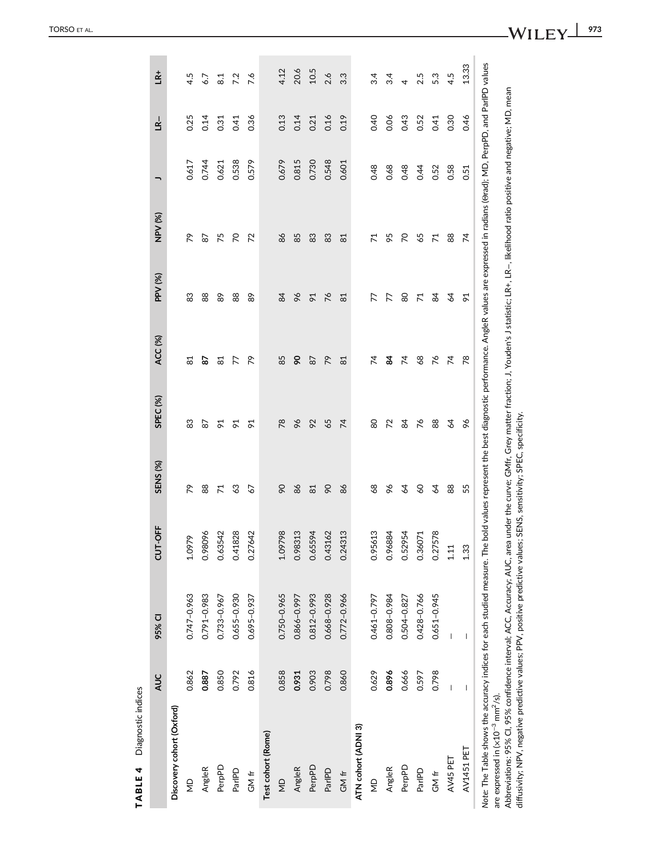|                                                                                                                                                                                                                                                                   | <b>AUC</b>               | 95% CI                   | ξ<br>cu <sub>r</sub> | SENS <sub>(%)</sub> | SPEC <sub>(%)</sub> | ACC (%)        | PPV (%)         | NPV (%)        |       | ₫    | <u>iƙ</u> + |
|-------------------------------------------------------------------------------------------------------------------------------------------------------------------------------------------------------------------------------------------------------------------|--------------------------|--------------------------|----------------------|---------------------|---------------------|----------------|-----------------|----------------|-------|------|-------------|
| Discovery cohort (Oxford)                                                                                                                                                                                                                                         |                          |                          |                      |                     |                     |                |                 |                |       |      |             |
| $\frac{\Omega}{\Sigma}$                                                                                                                                                                                                                                           | 0.862                    | 0.747-0.963              | بو<br>1.097          | ጽ                   | 83                  | ದ              | 83              | ጽ              | 0.617 | 0.25 | 4.5         |
| AngleR                                                                                                                                                                                                                                                            | 0.887                    | 0.791-0.983              | 0.98096              | 88                  | 62                  | 59             | 88              | 59             | 0.744 | 0.14 | 6.7         |
| PerpPD                                                                                                                                                                                                                                                            | 0.850                    | 0.733-0.967              | 0.63542              | $\overline{7}$      | $\mathfrak{p}$      | ವ              | 89              | 75             | 0.621 | 0.31 | 8.1         |
| ParlPD                                                                                                                                                                                                                                                            | 0.792                    | 0.655-0.930              | 0.41828              | S                   | 51                  | 77             | 88              | 50             | 0.538 | 0.41 | 7.2         |
| GM fr                                                                                                                                                                                                                                                             | 0.816                    | 0.695-0.937              | 0.27642              | 57                  | 51                  | ጽ              | 89              | 72             | 0.579 | 0.36 | 7.6         |
| Test cohort (Rome)                                                                                                                                                                                                                                                |                          |                          |                      |                     |                     |                |                 |                |       |      |             |
| $\overline{a}$                                                                                                                                                                                                                                                    | 0.858                    | 0.750-0.965              | 1.09798              | 8                   | $\frac{8}{2}$       | 85             | 84              | 86             | 0.679 | 0.13 | 4.12        |
| AngleR                                                                                                                                                                                                                                                            | 0.931                    | 0.866-0.997              | 0.98313              | 86                  | $\frac{6}{2}$       | 8              | 66              | 85             | 0.815 | 0.14 | 20.6        |
| PerpPD                                                                                                                                                                                                                                                            | 0.903                    | 0.812-0.993              | 0.65594              | 81                  | 92                  | 52             | $\overline{91}$ | 83             | 0.730 | 0.21 | 10.5        |
| ParlPD                                                                                                                                                                                                                                                            | 0.798                    | 0.668-0.928              | 0.43162              | 90                  | 65                  | $\overline{2}$ | 76              | 83             | 0.548 | 0.16 | 2.6         |
| GM fr                                                                                                                                                                                                                                                             | 0.860                    | 0.772-0.966              | 0.24313              | 86                  | 74                  | $\overline{8}$ | $\overline{8}$  | $\overline{8}$ | 0.601 | 0.19 | 3.3         |
| ATN cohort (ADNI 3)                                                                                                                                                                                                                                               |                          |                          |                      |                     |                     |                |                 |                |       |      |             |
| $\frac{1}{2}$                                                                                                                                                                                                                                                     | 0.629                    | 0.461-0.797              | 0.95613              | 89                  | 80                  | 74             | 77              | 71             | 0.48  | 0.40 | 34          |
| AngleR                                                                                                                                                                                                                                                            | 0.896                    | 0.808-0.984              | 0.96884              | 96                  | 72                  | æ              | 77              | 95             | 0.68  | 0.06 | 3.4         |
| PerpPD                                                                                                                                                                                                                                                            | 0.666                    | 0.504-0.827              | 0.52954              | 2                   | 3                   | 74             | 80              | 50             | 0.48  | 0.43 | 4           |
| ParlPD                                                                                                                                                                                                                                                            | 0.597                    | 0.428-0.766              | 0.36071              | $\infty$            | 54                  | 89             | $\overline{71}$ | 59             | 0.44  | 0.52 | 2.5         |
| GM fr                                                                                                                                                                                                                                                             | 0.798                    | 0.651-0.945              | 0.27578              | $\mathcal{A}$       | 88                  | 56             | $\frac{8}{4}$   | 71             | 0.52  | 0.41 | 5.3         |
| AV45 PET                                                                                                                                                                                                                                                          | $\overline{1}$           | $\overline{\phantom{a}}$ | 1.11                 | 88                  | 3                   | 74             | 64              | 88             | 0.58  | 0.30 | 4.5         |
| AV1451 PET                                                                                                                                                                                                                                                        | $\overline{\phantom{a}}$ | $\overline{\phantom{a}}$ | 1.33                 | 55                  | 96                  | œ              | $\overline{9}$  | 74             | 0.51  | 0.46 | 13.33       |
| Note: The Table shows the accuracy indices for each studied measure. The bold values represent the best diagnostic performance. AngleR values are expressed in radians (0rad); MD, PerpPD, and ParIPD values<br>are expressed in $(x10^{-3}$ mm <sup>2</sup> /s). |                          |                          |                      |                     |                     |                |                 |                |       |      |             |

Abbreviations: 95% CI, 95% confidence interval; ACC, Accuracy; AUC, area under the curve; GMfr, Grey matter fraction; J, Youden's J statistic; LR+, LR–, likelihood ratio positive and negative; MD, mean<br>diffusivity; NPV, ne Abbreviations: 95% CI, 95% confidence interval; ACC, Accuracy; AUC, area under the curve; GMfr, Grey matter fraction; J, Youden's J statistic; LR+, LR−, likelihood ratio positive and negative; MD, mean diffusivity; NPV, negative predictive values; PPV, positive predictive values; SENS, sensitivity; SPEC, specificity.

TORSO ET AL

TABLE 4 Diagnostic indices

TABLE 4

Diagnostic indices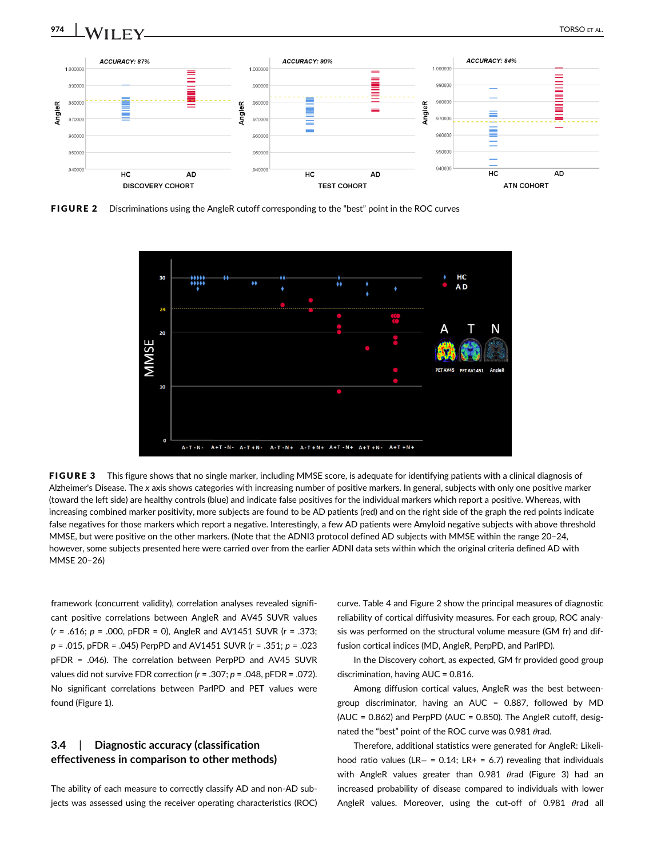

FIGURE 2 Discriminations using the AngleR cutoff corresponding to the "best" point in the ROC curves



FIGURE 3 This figure shows that no single marker, including MMSE score, is adequate for identifying patients with a clinical diagnosis of Alzheimer's Disease. The x axis shows categories with increasing number of positive markers. In general, subjects with only one positive marker (toward the left side) are healthy controls (blue) and indicate false positives for the individual markers which report a positive. Whereas, with increasing combined marker positivity, more subjects are found to be AD patients (red) and on the right side of the graph the red points indicate false negatives for those markers which report a negative. Interestingly, a few AD patients were Amyloid negative subjects with above threshold MMSE, but were positive on the other markers. (Note that the ADNI3 protocol defined AD subjects with MMSE within the range 20–24, however, some subjects presented here were carried over from the earlier ADNI data sets within which the original criteria defined AD with MMSE 20–26)

framework (concurrent validity), correlation analyses revealed significant positive correlations between AngleR and AV45 SUVR values  $(r = .616; p = .000, pFDR = 0)$ , AngleR and AV1451 SUVR  $(r = .373;$  $p = .015$ , pFDR = .045) PerpPD and AV1451 SUVR ( $r = .351$ ;  $p = .023$ pFDR = .046). The correlation between PerpPD and AV45 SUVR values did not survive FDR correction ( $r = .307$ ;  $p = .048$ , pFDR = .072). No significant correlations between ParlPD and PET values were found (Figure 1).

## 3.4 | Diagnostic accuracy (classification effectiveness in comparison to other methods)

The ability of each measure to correctly classify AD and non-AD subjects was assessed using the receiver operating characteristics (ROC) curve. Table 4 and Figure 2 show the principal measures of diagnostic reliability of cortical diffusivity measures. For each group, ROC analysis was performed on the structural volume measure (GM fr) and diffusion cortical indices (MD, AngleR, PerpPD, and ParlPD).

In the Discovery cohort, as expected, GM fr provided good group discrimination, having AUC = 0.816.

Among diffusion cortical values, AngleR was the best betweengroup discriminator, having an AUC = 0.887, followed by MD (AUC =  $0.862$ ) and PerpPD (AUC =  $0.850$ ). The AngleR cutoff, designated the "best" point of the ROC curve was 0.981 θrad.

Therefore, additional statistics were generated for AngleR: Likelihood ratio values (LR− = 0.14; LR+ = 6.7) revealing that individuals with AngleR values greater than 0.981  $\theta$ rad (Figure 3) had an increased probability of disease compared to individuals with lower AngleR values. Moreover, using the cut-off of 0.981  $\theta$ rad all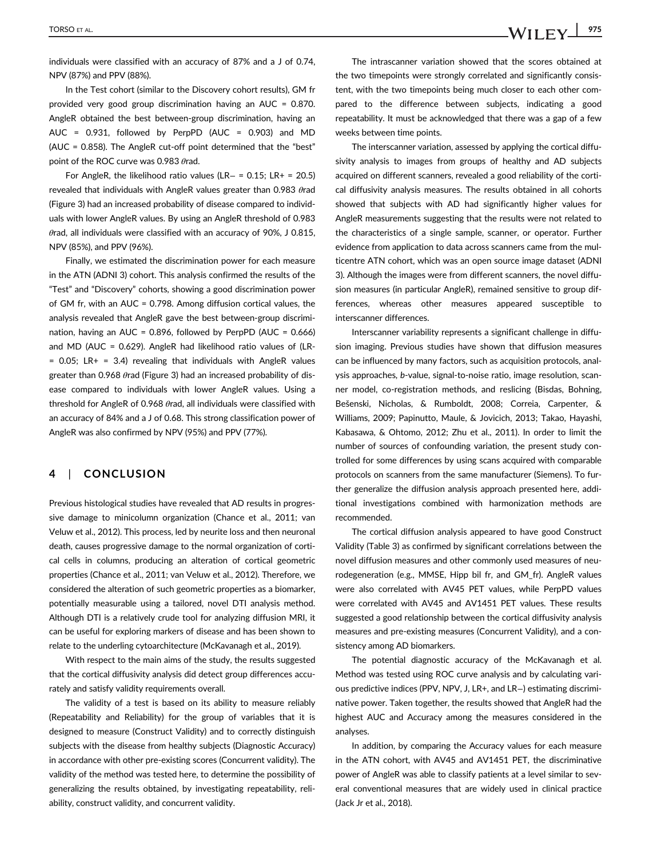individuals were classified with an accuracy of 87% and a J of 0.74, NPV (87%) and PPV (88%).

In the Test cohort (similar to the Discovery cohort results), GM fr provided very good group discrimination having an AUC = 0.870. AngleR obtained the best between-group discrimination, having an AUC =  $0.931$ , followed by PerpPD (AUC =  $0.903$ ) and MD (AUC = 0.858). The AngleR cut-off point determined that the "best" point of the ROC curve was 0.983  $\theta$ rad.

For AngleR, the likelihood ratio values (LR− = 0.15; LR+ = 20.5) revealed that individuals with AngleR values greater than 0.983 θrad (Figure 3) had an increased probability of disease compared to individuals with lower AngleR values. By using an AngleR threshold of 0.983  $\theta$ rad, all individuals were classified with an accuracy of 90%, J 0.815, NPV (85%), and PPV (96%).

Finally, we estimated the discrimination power for each measure in the ATN (ADNI 3) cohort. This analysis confirmed the results of the "Test" and "Discovery" cohorts, showing a good discrimination power of GM fr, with an AUC = 0.798. Among diffusion cortical values, the analysis revealed that AngleR gave the best between-group discrimination, having an AUC = 0.896, followed by PerpPD (AUC =  $0.666$ ) and MD (AUC = 0.629). AngleR had likelihood ratio values of (LR-  $= 0.05$ ; LR+  $= 3.4$ ) revealing that individuals with AngleR values greater than 0.968  $\theta$ rad (Figure 3) had an increased probability of disease compared to individuals with lower AngleR values. Using a threshold for AngleR of 0.968  $\theta$ rad, all individuals were classified with an accuracy of 84% and a J of 0.68. This strong classification power of AngleR was also confirmed by NPV (95%) and PPV (77%).

#### 4 | CONCLUSION

Previous histological studies have revealed that AD results in progressive damage to minicolumn organization (Chance et al., 2011; van Veluw et al., 2012). This process, led by neurite loss and then neuronal death, causes progressive damage to the normal organization of cortical cells in columns, producing an alteration of cortical geometric properties (Chance et al., 2011; van Veluw et al., 2012). Therefore, we considered the alteration of such geometric properties as a biomarker, potentially measurable using a tailored, novel DTI analysis method. Although DTI is a relatively crude tool for analyzing diffusion MRI, it can be useful for exploring markers of disease and has been shown to relate to the underling cytoarchitecture (McKavanagh et al., 2019).

With respect to the main aims of the study, the results suggested that the cortical diffusivity analysis did detect group differences accurately and satisfy validity requirements overall.

The validity of a test is based on its ability to measure reliably (Repeatability and Reliability) for the group of variables that it is designed to measure (Construct Validity) and to correctly distinguish subjects with the disease from healthy subjects (Diagnostic Accuracy) in accordance with other pre-existing scores (Concurrent validity). The validity of the method was tested here, to determine the possibility of generalizing the results obtained, by investigating repeatability, reliability, construct validity, and concurrent validity.

The intrascanner variation showed that the scores obtained at the two timepoints were strongly correlated and significantly consistent, with the two timepoints being much closer to each other compared to the difference between subjects, indicating a good repeatability. It must be acknowledged that there was a gap of a few weeks between time points.

The interscanner variation, assessed by applying the cortical diffusivity analysis to images from groups of healthy and AD subjects acquired on different scanners, revealed a good reliability of the cortical diffusivity analysis measures. The results obtained in all cohorts showed that subjects with AD had significantly higher values for AngleR measurements suggesting that the results were not related to the characteristics of a single sample, scanner, or operator. Further evidence from application to data across scanners came from the multicentre ATN cohort, which was an open source image dataset (ADNI 3). Although the images were from different scanners, the novel diffusion measures (in particular AngleR), remained sensitive to group differences, whereas other measures appeared susceptible to interscanner differences.

Interscanner variability represents a significant challenge in diffusion imaging. Previous studies have shown that diffusion measures can be influenced by many factors, such as acquisition protocols, analysis approaches, b-value, signal-to-noise ratio, image resolution, scanner model, co-registration methods, and reslicing (Bisdas, Bohning, Bešenski, Nicholas, & Rumboldt, 2008; Correia, Carpenter, & Williams, 2009; Papinutto, Maule, & Jovicich, 2013; Takao, Hayashi, Kabasawa, & Ohtomo, 2012; Zhu et al., 2011). In order to limit the number of sources of confounding variation, the present study controlled for some differences by using scans acquired with comparable protocols on scanners from the same manufacturer (Siemens). To further generalize the diffusion analysis approach presented here, additional investigations combined with harmonization methods are recommended.

The cortical diffusion analysis appeared to have good Construct Validity (Table 3) as confirmed by significant correlations between the novel diffusion measures and other commonly used measures of neurodegeneration (e.g., MMSE, Hipp bil fr, and GM\_fr). AngleR values were also correlated with AV45 PET values, while PerpPD values were correlated with AV45 and AV1451 PET values. These results suggested a good relationship between the cortical diffusivity analysis measures and pre-existing measures (Concurrent Validity), and a consistency among AD biomarkers.

The potential diagnostic accuracy of the McKavanagh et al. Method was tested using ROC curve analysis and by calculating various predictive indices (PPV, NPV, J, LR+, and LR−) estimating discriminative power. Taken together, the results showed that AngleR had the highest AUC and Accuracy among the measures considered in the analyses.

In addition, by comparing the Accuracy values for each measure in the ATN cohort, with AV45 and AV1451 PET, the discriminative power of AngleR was able to classify patients at a level similar to several conventional measures that are widely used in clinical practice (Jack Jr et al., 2018).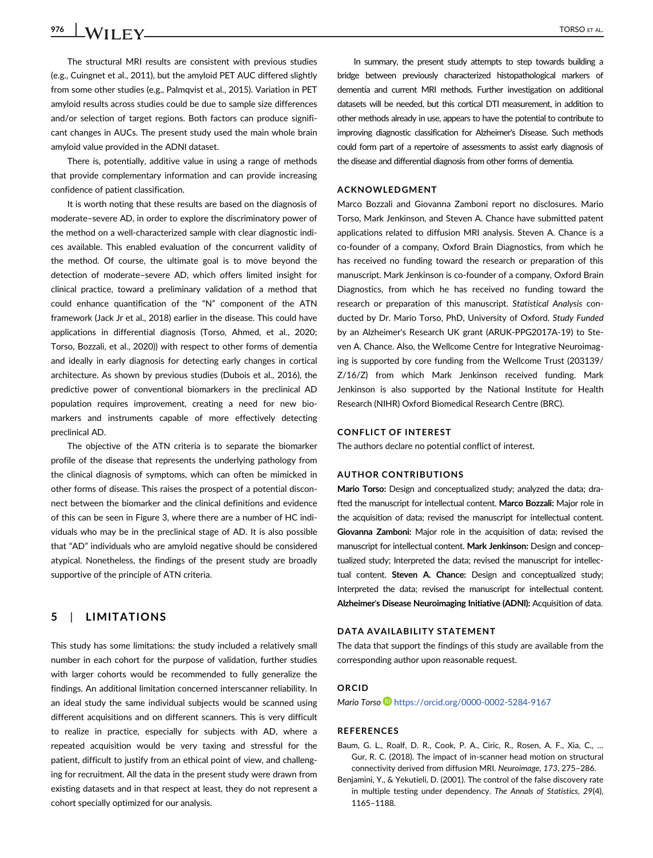The structural MRI results are consistent with previous studies (e.g., Cuingnet et al., 2011), but the amyloid PET AUC differed slightly from some other studies (e.g., Palmqvist et al., 2015). Variation in PET amyloid results across studies could be due to sample size differences and/or selection of target regions. Both factors can produce significant changes in AUCs. The present study used the main whole brain amyloid value provided in the ADNI dataset.

There is, potentially, additive value in using a range of methods that provide complementary information and can provide increasing confidence of patient classification.

It is worth noting that these results are based on the diagnosis of moderate–severe AD, in order to explore the discriminatory power of the method on a well-characterized sample with clear diagnostic indices available. This enabled evaluation of the concurrent validity of the method. Of course, the ultimate goal is to move beyond the detection of moderate–severe AD, which offers limited insight for clinical practice, toward a preliminary validation of a method that could enhance quantification of the "N" component of the ATN framework (Jack Jr et al., 2018) earlier in the disease. This could have applications in differential diagnosis (Torso, Ahmed, et al., 2020; Torso, Bozzali, et al., 2020)) with respect to other forms of dementia and ideally in early diagnosis for detecting early changes in cortical architecture. As shown by previous studies (Dubois et al., 2016), the predictive power of conventional biomarkers in the preclinical AD population requires improvement, creating a need for new biomarkers and instruments capable of more effectively detecting preclinical AD.

The objective of the ATN criteria is to separate the biomarker profile of the disease that represents the underlying pathology from the clinical diagnosis of symptoms, which can often be mimicked in other forms of disease. This raises the prospect of a potential disconnect between the biomarker and the clinical definitions and evidence of this can be seen in Figure 3, where there are a number of HC individuals who may be in the preclinical stage of AD. It is also possible that "AD" individuals who are amyloid negative should be considered atypical. Nonetheless, the findings of the present study are broadly supportive of the principle of ATN criteria.

### 5 | LIMITATIONS

This study has some limitations: the study included a relatively small number in each cohort for the purpose of validation, further studies with larger cohorts would be recommended to fully generalize the findings. An additional limitation concerned interscanner reliability. In an ideal study the same individual subjects would be scanned using different acquisitions and on different scanners. This is very difficult to realize in practice, especially for subjects with AD, where a repeated acquisition would be very taxing and stressful for the patient, difficult to justify from an ethical point of view, and challenging for recruitment. All the data in the present study were drawn from existing datasets and in that respect at least, they do not represent a cohort specially optimized for our analysis.

In summary, the present study attempts to step towards building a bridge between previously characterized histopathological markers of dementia and current MRI methods. Further investigation on additional datasets will be needed, but this cortical DTI measurement, in addition to other methods already in use, appears to have the potential to contribute to improving diagnostic classification for Alzheimer's Disease. Such methods could form part of a repertoire of assessments to assist early diagnosis of the disease and differential diagnosis from other forms of dementia.

#### ACKNOWLEDGMENT

Marco Bozzali and Giovanna Zamboni report no disclosures. Mario Torso, Mark Jenkinson, and Steven A. Chance have submitted patent applications related to diffusion MRI analysis. Steven A. Chance is a co-founder of a company, Oxford Brain Diagnostics, from which he has received no funding toward the research or preparation of this manuscript. Mark Jenkinson is co-founder of a company, Oxford Brain Diagnostics, from which he has received no funding toward the research or preparation of this manuscript. Statistical Analysis conducted by Dr. Mario Torso, PhD, University of Oxford. Study Funded by an Alzheimer's Research UK grant (ARUK-PPG2017A-19) to Steven A. Chance. Also, the Wellcome Centre for Integrative Neuroimaging is supported by core funding from the Wellcome Trust (203139/ Z/16/Z) from which Mark Jenkinson received funding. Mark Jenkinson is also supported by the National Institute for Health Research (NIHR) Oxford Biomedical Research Centre (BRC).

#### CONFLICT OF INTEREST

The authors declare no potential conflict of interest.

#### AUTHOR CONTRIBUTIONS

Mario Torso: Design and conceptualized study; analyzed the data; drafted the manuscript for intellectual content. Marco Bozzali: Major role in the acquisition of data; revised the manuscript for intellectual content. Giovanna Zamboni: Major role in the acquisition of data; revised the manuscript for intellectual content. Mark Jenkinson: Design and conceptualized study; Interpreted the data; revised the manuscript for intellectual content. Steven A. Chance: Design and conceptualized study; Interpreted the data; revised the manuscript for intellectual content. Alzheimer's Disease Neuroimaging Initiative (ADNI): Acquisition of data.

#### DATA AVAILABILITY STATEMENT

The data that support the findings of this study are available from the corresponding author upon reasonable request.

#### ORCID

Mario Torso <https://orcid.org/0000-0002-5284-9167>

#### REFERENCES

- Baum, G. L., Roalf, D. R., Cook, P. A., Ciric, R., Rosen, A. F., Xia, C., … Gur, R. C. (2018). The impact of in-scanner head motion on structural connectivity derived from diffusion MRI. Neuroimage, 173, 275–286.
- Benjamini, Y., & Yekutieli, D. (2001). The control of the false discovery rate in multiple testing under dependency. The Annals of Statistics, 29(4), 1165–1188.